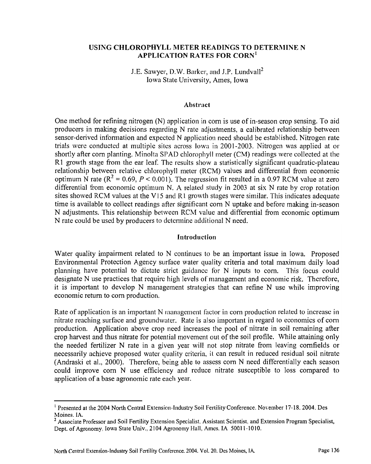## USING CHLOROPHYLL METER READINGS TO DETERMINE N APPLICATION RATES FOR CORN'

J.E. Sawyer, D.W. Barker, and J.P. Lundvall<sup>2</sup> Iowa State University, Ames, Iowa

#### Abstract

One method for refining nitrogen (N) application in corn is use of in-season crop sensing. To aid producers in making decisions regarding N rate adjustments, a calibrated relationship between sensor-derived information and expected N application need should be established. Nitrogen rate trials were conducted at multiple sitcs across Iowa in 2001-2003. Nitrogen was applied at or shortly after corn planting. Minolta SPAD chlorophyll meter (CM) readings were collected at the R1 growth stage from the ear leaf. The results show a statistically significant quadratic-plateau relationship between relative chlorophyll meter (RCM) values and differential from economic optimum N rate ( $R^2 = 0.69$ ,  $P < 0.001$ ). The regression fit resulted in a 0.97 RCM value at zero differential from economic optimum N. A related study in 2003 at six N rate by crop rotation sites showed RCM values at the V15 and R1 growth stages were similar. This indicates adequate time is available to collect readings after significant corn N uptake and before making in-season N adjustments. This relationship between RCM value and differential from economic optimum N rate could be used by producers to determine additional N need.

### Introduction

Water quality impairment related to N continues to be an important issue in Iowa. Proposed Environmental Protection Agency surface water quality criteria and total maximum daily load planning have potential to dictate strict guidancc for N inputs to corn. This focus could designate N use practices that require high levels of management and economic risk. Therefore, it is important to develop N management strategies that can refine N use while improving economic return to corn production.

Rate of application is an important N management factor in corn production related to increase in nitrate reaching surface and groundwater. Rate is also important in regard to economics of corn production. Application above crop need increases the pool of nitrate in soil remaining after crop harvest and thus nitrate for potential movement out of the soil profile. While attaining only the needed fertilizer N rate in a given year will not stop nitrate from leaving cornfields or necessarily achieve proposed water quality criteria, it can result in reduced residual soil nitrate (Andraski et al., 2000). Therefore, being able to assess corn N need differentially each season could improve corn N use efficiency and reduce nitrate susceptible to loss compared to application of a base agronomic rate each year.

<sup>&#</sup>x27; Presented at the 2004 North Central Extension-Industry Soil Fertility Conference. November 17-18. 2004. Des Moines. IA.

<sup>&</sup>lt;sup>2</sup> Associate Professor and Soil Fertility Extension Specialist. Assistant Scientist, and Extension Program Specialist, Dept. of Agronomy. Iowa State Univ., 2104 Agronomy Hall, Ames. IA 50011-1010.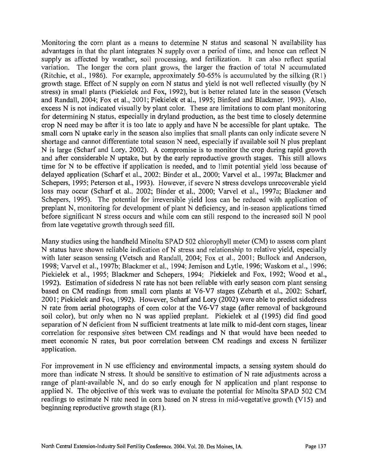Monitoring the corn plant as a means to determine N status and seasonal N availability has advantages in that the plant integrates N supply over a period of timc, and hence can reflect N supply as affected by weather, soil processing, and fertilization. It can also reflect spatial variation. The longer the corn plant grows, the larger the fraction of total N accumulated (Ritchie, et al., 1986). For example, approximately 50-65% is accumulated by the silking  $(R1)$ growth stage. Effect of N supply on corn N status and yield is not wcll reflected visually (by N stress) in small plants (Piekielek and Fox, 1992), but is better related late in the season (Vetsch and Randall, 2003; Fox et al., 2001; Piekielek et al., 1995; Binford and Blackmer, 1993). Also, excess N is not indicated visually by plant color. These are limitations to corn plant monitoring for determining N status, especially in dryland production, as the best time to closely determine crop N need may be after it is too late to apply and have N be accessible for plant uptake. The small corn N uptake early in the season also implies that small plants can only indicate severe N shortage and cannot differentiate total season N need, especially if available soil N plus preplant N is large (Scharf and Lory, 2002). A compromise is to monitor the crop during rapid growth and after considerable N uptake, but by the early reproductive growth stages. This still allows time for N to be effective if application is needed, and to limit potential yield loss because of delayed application (Scharf et al., 2002; Binder et al., 2000; Varvel et al., 1997a; Blackmer and Schepers, 1995; Peterson et al., 1993). However, if severe N stress develops unrecoverable yield loss may occur (Scharf et al., 2002; Binder et al., 2000; Vanrel et al., 1997a; Blackmer and Schepers, 1995). The potential for irreversible yield loss can be reduced with application of preplant N, monitoring for development of plant N deficiency, and in-season applications timed before significant N stress occurs and while com can still respond to the increased soil N pool fiom late vcgetative growth through seed fill.

Many studies using the handheld Minolta SPAD 502 chlorophyll meter (CM) to assess corn plant N status have shown reliable indication of N stress and relationship to relative yield, especially with later season sensing (Vetsch and Randall, 2004; Fox et al., 2001; Bullock and Anderson, 1998; Varvel et al., 1997b; Blackmer et al., 1994; Jemison and Lytle, 1996: Waskom et al., 1996: Piekielek et al., 1995; Blackmer and Schepers, 1994; Piekielek and Fox, 1992; Wood et al., 1992). Estimation of sidedress N rate has not been reliable with early season corn plant sensing based on CM readings fiom small corn plants at V6-V7 stages (Zebarth et al., 2002; Scharf, 200 1; Piekielek and Fox, 1992). However, Scharf and Lory (2002) were able to predict sidedress N rate from aerial photographs of corn color at the V6-V7 stage (after removal of background soil color). but only when no N was applied preplant. Piekielek et a1 (1995) did find good separation of N deficient fiom N sufficient treatments at late milk to mid-dent corn stages, linear correlation for responsive sites between CM readings and N that would have been needed to meet economic N rates, but poor correlation between CM readings and excess N fertilizer application.

For improvement in N use efficiency and environmental impacts, a sensing system should do more than indicate N stress. It should be sensitive to estimation of N rate adjustments across a range of plant-available N, and do so early enough for N application and plant response to applied N. The objective of this work was to evaluate the potential for Minolta SPAD 502 CM readings to estimate N rate need in corn based on N stress in mid-vegetative growth (V15) and beginning reproductive growth stage (Rl).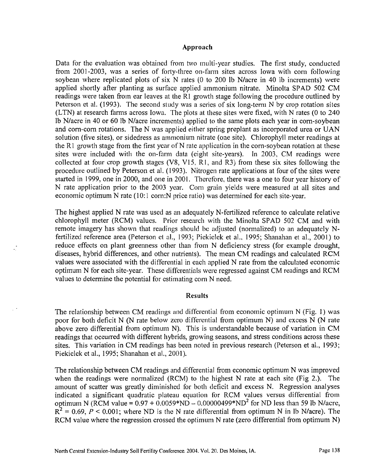#### **Approach**

Data for the evaluation was obtained from two multi-year studies. The first study, conducted from 2001-2003, was a series of forty-three on-farm sites across Iowa with corn following soybean where replicated plots of six N rates (0 to 200 lb N/acre in 40 lb increments) were applied shortly after planting as surface applied ammonium nitrate. Minolta SPAD 502 CM readings were taken from ear leaves at the R1 growth stage following the procedure outlined by Peterson et al. (1993). The second study was a series of six long-term N by crop rotation sites (LTN) at research farms across Iowa. The plots at these sites were fixed, with N rates (0 to 240 Ib Nlacre in 40 or 60 Ib Nlacre increments) applied to the same plots each year in corn-soybean and corn-corn rotations. The N was applied either spring preplant as incorporated urea or UAN solution (five sites), or sidedress as ammonium nitrate (one site). Chlorophyll meter readings at the R1 growth stage from the first year of N rate application in the corn-soybean rotation at these sites were included with the on-farm data (eight site-years). In 2003, CM readings were collected at four crop growth stages (V8, V15, **R1,** and R3) from these six sites following the procedure outlined by Peterson et al. (1993). Nitrogen rate applications at four of the sites were started in 1999, one in 2000, and one in 2001. Therefore, there was a one to four year history of N rate application prior to the 2003 year. Corn grain yields were measured at all sites and economic optimum N rate (10:1 corn: N price ratio) was determined for each site-year.

The highest applied N rate was used as an adequately N-fertilized reference to calculate relative chlorophyll meter (RCM) values. Prior research with the Minolta SPAD 502 CM and with remote imagery has shown that readings should be adjusted (normalized) to an adequately Nfertilized reference area (Peterson et al., 1993; Piekielek et al.. 1995; Shanahan et al., 2001) to reduce effects on plant greenness other than from N deficiency stress (for example drought, diseases, hybrid differences, and other nutrients). The mean CM readings and calculated RCM values were associated with the differential in each applied N rate from the calculated economic optimum N for each site-year. These differentials were regressed against CM readings and RCM values to determine the potential for estimating corn N need.

#### **Results**

The relationship between CM readings and differential from economic optimum N (Fig. 1) was poor for both deficit N (N rate below zero differential from optimum N) and excess N (N rate above zero differential from optimum N). This is understandable because of variation in CM readings that occurred with different hybrids, growing seasons, and stress conditions across these sites. This variation in CM readings has been noted in previous research (Peterson et al., 1993; Piekielek et al., 1995; Shanahan et al., 2001).

The relationship between CM readings and differential from economic optimum N was improved when the readings were normalized (RCM) to the highest N rate at each site (Fig 2.). The amount of scatter was greatly diminished for both deficit and excess N. Regression analyses indicated a significant quadratic plateau equalion for RCM values versus differential from optimum N (RCM value =  $0.97 + 0.0059*ND - 0.00000499*ND^2$  for ND less than 59 lb N/acre,  $R^2 = 0.69$ ,  $P < 0.001$ ; where ND is the N rate differential from optimum N in lb N/acre). The RCM value where the regression crossed the optimum  $N$  rate (zero differential from optimum  $N$ )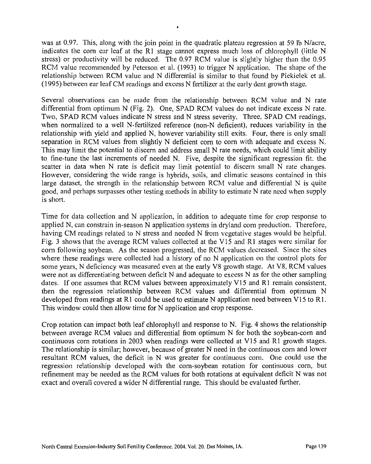was at 0.97. This, along with the join point in the quadratic plateau regression at 59 lb N/acre, indicates the corn ear leaf at the R1 stage cannot express much loss of chlorophyll (little N stress) or productivity will be reduced. The 0.97 RCM value is slightly higher than the 0.95 RCM value recommended by Peterson et al.  $(1993)$  to trigger N application. The shape of the relationship between RCM value and N differential is similar to that found by Piekielek et al. (1995) between ear leaf CM readings and excess N fertilizer at the early dent growth stage.

Several observations can be made from the relationship between RCM value and N rate differential from optimum N (Fig. 2). One, SPAD RCM values do not indicate excess N rate. Two, SPAD RCM values indicate N stress and N stress severity. Three, SPAD CM readings, when normalized to a well N-fertilized reference (non-N deficient), reduces variability in the relationship with yield and applied N, however variability still exits. Four, there is only small separation in RCM values from slightly N deficient corn to corn with adequate and excess N. This may limit the potential to discern and address small N rate needs, which could limit ability to fine-tune the last increments of needed N. Five, despite the significant regression fit. the scatter in data when  $N$  rate is deficit may limit potential to discern small  $N$  rate changes. However, considering the wide range is hybrids, soils, and climatic seasons contained in this large dataset, the strength in the relationship between RCM value and differential N is quite good, and perhaps surpasses other testing methods in ability to estimate N rate need when supply is short.

Time for data collection and N application, in addition to adequate time for crop response to applied N, can constrain in-season N application systems in dryland corn production. Therefore, having CM readings related to N stress and needed N from vegetative stages would be helpful. Fig. 3 shows that the average RCM values collected at the V15 and R1 stages were similar for corn following soybean. As the season progressed, the RCM values dccreased. Since the sites where these readings were collected had a history of no N application on the control plots for some years, N deficiency was measured even at the early V8 growth stage. At V8, RCM values were not **as** differentiating between deficit N and adequate to excess N as for the other sampling dates. If one assumes that RCM values between approximately V15 and R1 remain consistent, then the regression relationship between RCM values and differential from optimum N developed from readings at RI could be used to estimate N application need between **V15** to R1. This window could then allow time for N application and crop response.

Crop rotation can impact both leaf chlorophyll and response to N. Fig. 4 shows the relationship between average RCM values and differential from optimum N for both the soybean-corn and continuous corn rotations in 2003 when readings were collected at V15 and R1 growth stages. The relationship is similar; however, because of greater N need in the continuous corn and lower resultant RCM values, the deficit in N was greater for continuous corn. One could use the regression relationship developed with the corn-soybean rotation for continuous com, but refinement may be needed as the RCM values for both rotations at equivalent deficit N was not exact and overall covered a wider N differential range. This should be evaluated further.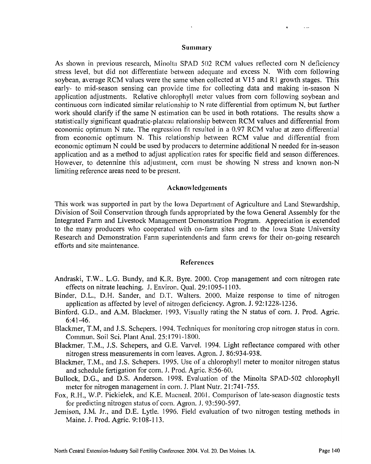#### Summary

As shown in previous research, Minolta SPAD 502 RCM values reflected corn N deficiency stress level. but did not differentiate between adequate and excess N. With corn following soybean, average RCM values were the same when collected at V15 and R1 growth stages. This early- to mid-season sensing can provide time for collecting data and making in-season N application adjustments. Relative chlorophyll meter values from corn following soybean and continuous corn indicated similar relationship to  $N$  rate differential from optimum  $N$ , but further work should clarify if the same N estimation can be used in both rotations. The results show a statistically significant quadratic-plateau relationship between RCM values and differential from economic optimum N rate. The regression fit resulted in a 0.97 RCM value at zero differential from economic optimum N. This relationship between RCM value and differential from economic optimum N could be used by producers to determine additional N needed for in-season application and as a method to adjust application rates for specific field and season differences. However, to determine this adjustment, corn must be showing  $N$  stress and known non- $N$ limiting reference areas need to be present.

#### Acknowledgements

This work was supported in part by the Iowa Department of Agriculture and Land Stewardship, Division of Soil Conservation through funds appropriated by the Iowa General Assembly for the Integrated Farm and Livestock Management Demonstration Program. Appreciation is extended to the many producers who cooperated with on-farm sites and to the Iowa State University Research and Demonstration Farm superintendents and farm crews for their on-going research efforts and site maintenance.

#### **References**

- Andraski, T.W.. L.G. Bundy. and K.R. Byre. 2000. Crop management and corn nitrogen rate effects on nitrate leaching. J. Environ. Qual. 29: 1095-1 103.
- Binder, D.L., D.H. Sander, and D.T. Walters. 2000. Maize response to time of nitrogen application as affected by level of nitrogen deficiency. Agron. J. 92: 1228-1236.
- Binford, G.D.. and A.M. Blackmer. 1993. Visually rating the N status of corn. J. Prod. Agric. 6:4 1 -46.
- Blackrner: T.M, and J.S. Schepers. 1994. Techniques for monitoring crop nitrogen status in corn. Commun. Soil Sci. Plant Anal. 25:1791-1800.
- Blackmer. T.M., J.S. Schepers, and G.E. Varvel. 1994. Light reflectance compared with other nitrogen stress measurements in corn leaves. Agron. J. 86:934-938.
- Blackmer, T.M., and J.S. Schepers. 1995. Use of a chlorophyll meter to monitor nitrogen status and schedule fertigation for corn. J. Prod. Agric. 8:56-60.
- Bullock, D.G., and D.S. Anderson. 1998. Evaluation of the Minolta SPAD-502 chlorophyll meter for nitrogen management in corn. J. Plant Nutr. 21 :741-755.
- Fox, R.H., W.P. Piekielek, and K.E. Macneal. 2001. Comparison of late-season diagnostic tests for predicting nitrogen status of corn. Agron. J. 93:590-597.
- Jemison, J.M. Jr.. and D.E. Lytle. 1996. Field evaluation of two nitrogen testing methods in Maine. J. Prod. Agric. 9: 108-1 13.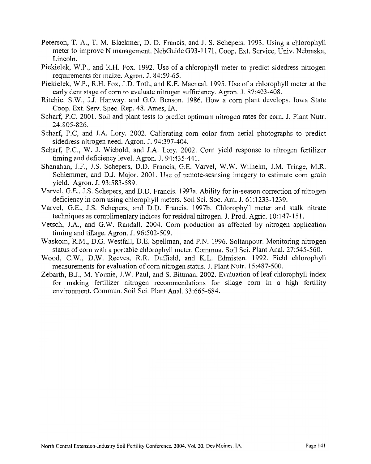- Peterson, T. A., T. M. Blackmer, D. D. Francis. and J. S. Schepers. 1993. Using a chlorophyll meter to improve N management. NebGuide G93-1171, Coop. Ext. Service, Univ. Nebraska, Lincoln.
- Piekielek, W.P., and R.H. Fox. 1992. Use of a chlorophyll meter to predict sidedress nitrogen requirements for maize. Agron. J. 84:59-65.
- Piekielek, W.P., R.H. Fox, J.D. Toth, and K.E. Macneal. 1995. Use of a chlorophyll meter at the early dent stage of corn to evaluate nitrogen sufficiency. Agron. J. 87:403-408.
- Ritchie, S.W., J.J. Hanway, and G.O. Benson. 1986. How a corn plant develops. Iowa State Coop. Ext. Serv. Spec. Rep. 48. Ames, IA.
- Scharf, P.C. 2001. Soil and plant tests to predict optimum nitrogen rates for corn. J. Plant Nutr. 24:805-826.
- Scharf, P.C, and J.A. Lory. 2002. Calibrating corn color from aerial photographs to predict sidedress nitrogen need. Agron. J. 94:397-404.
- Scharf, P.C., W. J. Wiebold, and J.A. Lory. 2002. Corn yield response to nitrogen fertilizer timing and deficiency level. Agron. J. 94:435-441.
- Shanahan, J.F., J.S. Schepers, D.D. Francis, G.E. Varvel, W.W. Wilhelm, J.M. Tringe, M.R. Schlemmer, and D.J. Major. 2001. Usc of remote-sesnsing imagery to estimate corn grain yield. Agron. J. 93:583-589.
- Varvel, G.E.. J.S. Schepers, and D.D. Francis. 1997a. Ability for in-season correction of nitrogen deficiency in corn using chlorophyll meters. Soil Sci. Soc. Am. J. 61 : 1233- 1239.
- Varvel, G.E., J.S. Schepers, and D.D. Francis. 1997b. Chlorophyll meter and stalk nitrate techniques as complimentary indices for residual nitrogen. J. Prod. Agric. 10: 147-1 **5** 1.
- Vetsch, J.A.. and G.W. Randall. 2004. Corn production as affected by nitrogen application timing and tillage. Agron. J. 96:502-509.
- Waskom, R.M., D.G. Westfall, D.E. Spellman, and P.N. 1996. Soltanpour. Monitoring nitrogen status of corn with a portable chlorophyll meter. Commun. Soil Sci. Plant Anal. 27:545-560.
- Wood, C.W., D.W. Reeves, R.R. Duffield, and K.L. Edmisten. 1992. Field chlorophyll measurements for evaluation of corn nitrogen status. J. Plant Nutr. 15:487-500.
- Zebarth, B.J., M. Younie, J.W. Paul, and S. Bittman. 2002. Evaluation of leaf chlorophyll index for making fertilizer nitrogen recommendations for silage corn in a high fertility environment. Commun. Soil Sci. Plant Anal. 33:665-684.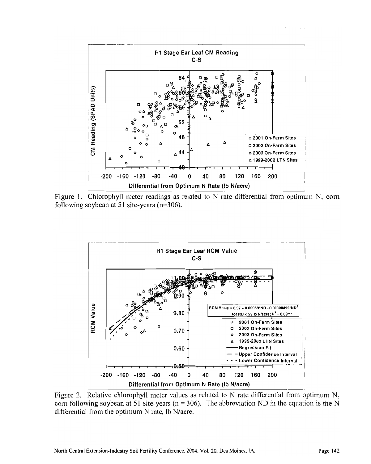

Figure 1. Chlorophyll meter readings as related to N rate differential from optimum N, corn following soybean at 51 site-years (n=306).



Figure 2. Relative chlorophyll meter values as related to N rate differential from optimum N, corn following soybean at 51 site-years ( $n = 306$ ). The abbreviation ND in the equation is the N differential from the optimum N rate, lb N/acre.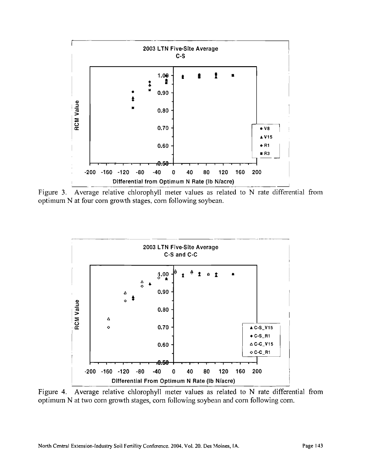

optimum N at four corn growth stages, corn following soybean.

![](_page_7_Figure_2.jpeg)

Figure 4. Average relative chlorophyll meter values as related to N rate differential from optimum N at two corn growth stages, corn following soybean and corn following corn.